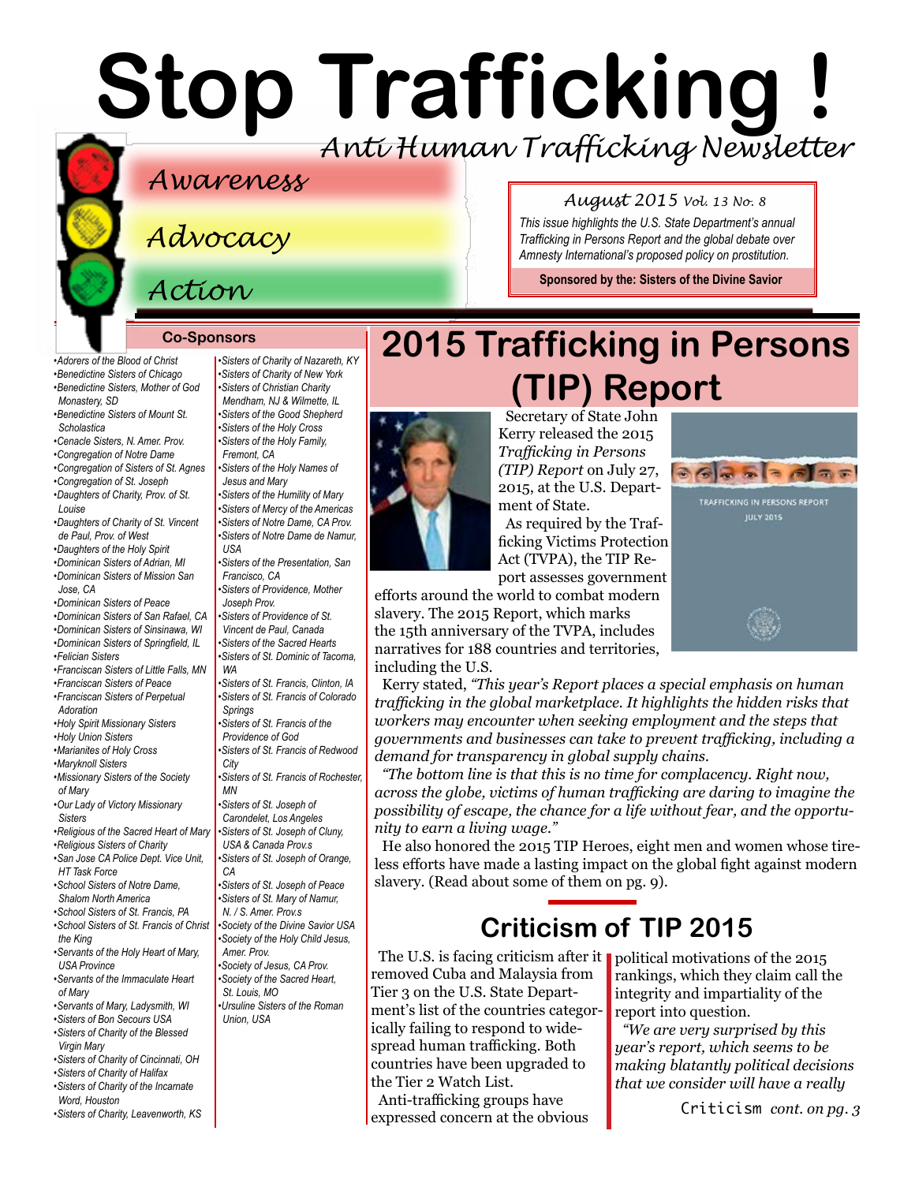# **Stop Trafficking !** *Anti Human Trafficking Newsletter*

### *Awareness*

*Advocacy*

### *Action*

*[Scholastica](http://www.mountosb.org/)* 

*[Louise](http://www.thedaughtersofcharity.org/)* 

*[Jose, CA](https://www.msjdominicans.org/)* 

*[Adoration](http://www.fspa.org/content/ministries/justice-peace/partnerships)*

*[of Mary](http://www.maristmissionarysmsm.org/)* 

*[Sisters](http://www.olvm.org)* 

*[the King](http://www.lemontfranciscans.org)* 

*[of Mary](http://www.ihmimmaculata.org/)* 

*[•Adorers of the Blood of Christ](http://www.adorers.org/)  [•Benedictine Sisters of Chicago](http://www.osbchicago.org/index.htm)  [•Benedictine Sisters, Mother of God](http://watertownbenedictines.org/)  [Monastery, SD](http://watertownbenedictines.org/)  [•Benedictine Sisters of Mount St.](http://www.mountosb.org/)  [•Cenacle Sisters, N. Amer. Prov.](http://www.cenaclesisters.org/)  [•Congregation of Notre Dame](http://www.cnd-m.org/en/justice/index.php)  [•Congregation of Sisters of St. Agnes](http://www.csasisters.org/)  [•Congregation of St. Joseph](http://www.scjoseph.org)  [•Daughters of Charity, Prov. of St.](http://www.thedaughtersofcharity.org/)  [•Daughters of Charity of St. Vincent](http://www.daughtersofcharity.com)  [de Paul, Prov. of West](http://www.daughtersofcharity.com)  •Daughters of the Holy Spiri[t](http://www.daughtersoftheholyspirit.org/)  [•Dominican Sisters of Adrian, MI](http://www.adriandominicans.org/)  [•Dominican Sisters of Mission San](https://www.msjdominicans.org/)  [•Dominican Sisters of Peace](http://www.oppeace.org)  [•Dominican Sisters of San Rafael, CA](http://www.sanrafaelop.org/)  [•Dominican Sisters of Sinsinawa, WI](http://www.sinsinawa.org/)  [•Dominican Sisters of Springfield, IL](http://springfieldop.org/)  [•Felician Sisters](http://feliciansisters.org/)  [•Franciscan Sisters of Little Falls, MN](http://www.fslf.org/)  [•Franciscan Sisters of Peace](https://sites.google.com/site/fspnet2/home)  [•Franciscan Sisters of Perpetual](http://www.fspa.org/content/ministries/justice-peace/partnerships)  [•Holy Spirit Missionary Sisters](http://www.ssps-usa.org)  [•Holy Union Sisters](http://www.holyunionsisters.org/)  [•Marianites of Holy Cross](http://www.marianites.org/)  [•Maryknoll Sisters](https://www.maryknollsisters.org/)  [•Missionary Sisters of the Society](http://www.maristmissionarysmsm.org/)  [•Our Lady of Victory Missionary](http://www.olvm.org)  [•Religious of the Sacred Heart of Mary](http://www.rshm.org/)  [•Religious Sisters of Charity](http://www.rsccaritas.ie/)  [•San Jose CA Police Dept. Vice Unit,](http://www.sjpd.org/BOI/Sexual_Assaults/StopHT/)  [HT Task Force](http://www.sjpd.org/BOI/Sexual_Assaults/StopHT/)  [•School Sisters of Notre Dame,](http://www.ssnd.org)  [Shalom North America](http://www.ssnd.org)  [•School Sisters of St. Francis, PA](http://www.schoolsistersosf.org/)  [•School Sisters of St. Francis of Christ](http://www.lemontfranciscans.org)  [•Servants of the Holy Heart of Mary,](http://www.sscm-usa.org/)  [USA Province](http://www.sscm-usa.org/)  [•Servants of the Immaculate Heart](http://www.ihmimmaculata.org/)  [Fremont, CA](http://www.holyfamilysisters.org/)  [USA](www.sndden.org/index.html)  [Francisco, CA](http://www.presentationsisterssf.org/)  [Joseph Prov.](http://www.sistersofprovidence.net)  [WA](https://www.tacomaop.org/) [Springs](http://stfrancis.org/)  [City](http://www.franciscanway.org/stfrancisprovince.html)  [MN](http://www.rochesterfranciscan.org/)  [CA](http://csjorange.org/)  [Amer. Prov.](http://www.shcj.org/american)  [St. Louis, MO](https://rscj.org/)* 

- *[•Servants of Mary, Ladysmith, WI](http://www.servitesisters.org/)  [•Sisters of Bon Secours USA](http://bonsecours.org/us/)  [•Sisters of Charity of the Blessed](http://www.bvmcong.org/)  [Virgin Mary](http://www.bvmcong.org/)  [•Sisters of Charity of Cincinnati, OH](http://www.srcharitycinti.org/)*
- *[•Sisters of Charity of Halifax](http://www.schalifax.ca/)*
- *[•Sisters of Charity of the Incarnate](http://www.sistersofcharity.org/)  [Word, Houston](http://www.sistersofcharity.org/)*
- *[•Sisters of Charity, Leavenworth, KS](http://www.scls.org/)*

*[•Sisters of Charity of Nazareth, KY](http://www.scnfamily.org/)  [•Sisters of Charity of New York](http://scny.org/)  •Sisters of Christian Charity [Mendham, NJ](http://www.scceast.org) [& Wilmette, IL](http://www.sccwilmette.org)  [•Sisters of the Good Shepherd](http://www.goodshepherdsisters.org/)  [•Sisters of the Holy Cross](http://www.cscsisters.org/)  [•Sisters of the Holy Family,](http://www.holyfamilysisters.org/)  [•Sisters of the Holy Names of](http://www.snjm.org/index)  [Jesus and Mary](http://www.snjm.org/index) [•Sisters of the Humility of Mary](http://www.humilityofmary.org/)  [•Sisters of Mercy of the Americas](http://www.sistersofmercy.org/) [•Sisters of Notre Dame, CA Prov.](http://www.sndca.org/)  [•Sisters of Notre Dame de Namur,](www.sndden.org/index.html)  [•Sisters of the Presentation, San](http://www.presentationsisterssf.org/)  [•Sisters of Providence, Mother](http://www.sistersofprovidence.net)  [•Sisters of Providence of St.](http://www.providence.ca)  [Vincent de Paul, Canada](http://www.providence.ca)  [•Sisters of the Sacred Hearts](http://www.sistersofthesacredhearts.org)  [•Sisters of St. Dominic of Tacoma,](https://www.tacomaop.org/)  [•Sisters of St. Francis, Clinton, IA](http://www.clintonfranciscans.com/)  [•Sisters of St. Francis of Colorado](http://stfrancis.org/)  [•Sisters of St. Francis of the](http://www.osfprov.org/)  [Providence of God](http://www.osfprov.org/)  [•Sisters of St. Francis of Redwood](http://www.franciscanway.org/stfrancisprovince.html)  [•Sisters of St. Francis of Rochester,](http://www.rochesterfranciscan.org/)  [•Sisters of St. Joseph of](http://www.csjla.org)  [Carondelet, Los Angeles](http://www.csjla.org)  [•Sisters of St. Joseph of Cluny,](http://www.clunyusandcanada.org/)  [USA & Canada Prov.s](http://www.clunyusandcanada.org/)  [•Sisters of St. Joseph of Orange,](http://csjorange.org/)  [•Sisters of St. Joseph of Peace](http://www.csjp.org/)  [•Sisters of St. Mary of Namur,](http://www.ssmn-e.com)  [N. / S. Amer. Prov.s](http://www.ssmn-e.com)  [•Society of the Divine Savior USA](http://www.salvatorians.com/)  [•Society of the Holy Child Jesus,](http://www.shcj.org/american)  [•Society of Jesus, CA Prov.](http://www.jesuitscalifornia.org/) [•Society of the Sacred Heart,](https://rscj.org/)  [•Ursuline Sisters of the Roman](http://usaromanunionursulines.org/)  [Union, USA](http://usaromanunionursulines.org/)*

## **Co-Sponsors 2015 Trafficking in Persons (TIP) Report**



Secretary of State John Kerry released the 2015 *Trafficking in Persons (TIP) Report* on July 27, 2015, at the U.S. Department of State.

As required by the Trafficking Victims Protection Act (TVPA), the TIP Report assesses government

efforts around the world to combat modern slavery. The 2015 Report, which marks the 15th anniversary of the TVPA, includes narratives for 188 countries and territories, including the U.S.

Kerry stated, *"This year's Report places a special emphasis on human trafficking in the global marketplace. It highlights the hidden risks that workers may encounter when seeking employment and the steps that governments and businesses can take to prevent trafficking, including a demand for transparency in global supply chains.*

*"The bottom line is that this is no time for complacency. Right now, across the globe, victims of human trafficking are daring to imagine the possibility of escape, the chance for a life without fear, and the opportunity to earn a living wage."* 

He also honored the 2015 TIP Heroes, eight men and women whose tireless efforts have made a lasting impact on the global fight against modern slavery. (Read about some of them on pg. 9).

## **Criticism of TIP 2015**

The U.S. is facing criticism after it political motivations of the 2015 removed Cuba and Malaysia from Tier 3 on the U.S. State Department's list of the countries categorically failing to respond to widespread human trafficking. Both countries have been upgraded to the Tier 2 Watch List.

Anti-trafficking groups have expressed concern at the obvious

### *August 2015 Vol. 13 No. 8*

*This issue highlights the U.S. State Department's annual Trafficking in Persons Report and the global debate over Amnesty International's proposed policy on prostitution.*

**Sponsored by the: [Sisters of the Divine Savior](http://www.sistersofthedivinesavior.org)**



Criticism *cont. on pg. 3*

rankings, which they claim call the integrity and impartiality of the

*"We are very surprised by this year's report, which seems to be making blatantly political decisions that we consider will have a really* 

report into question.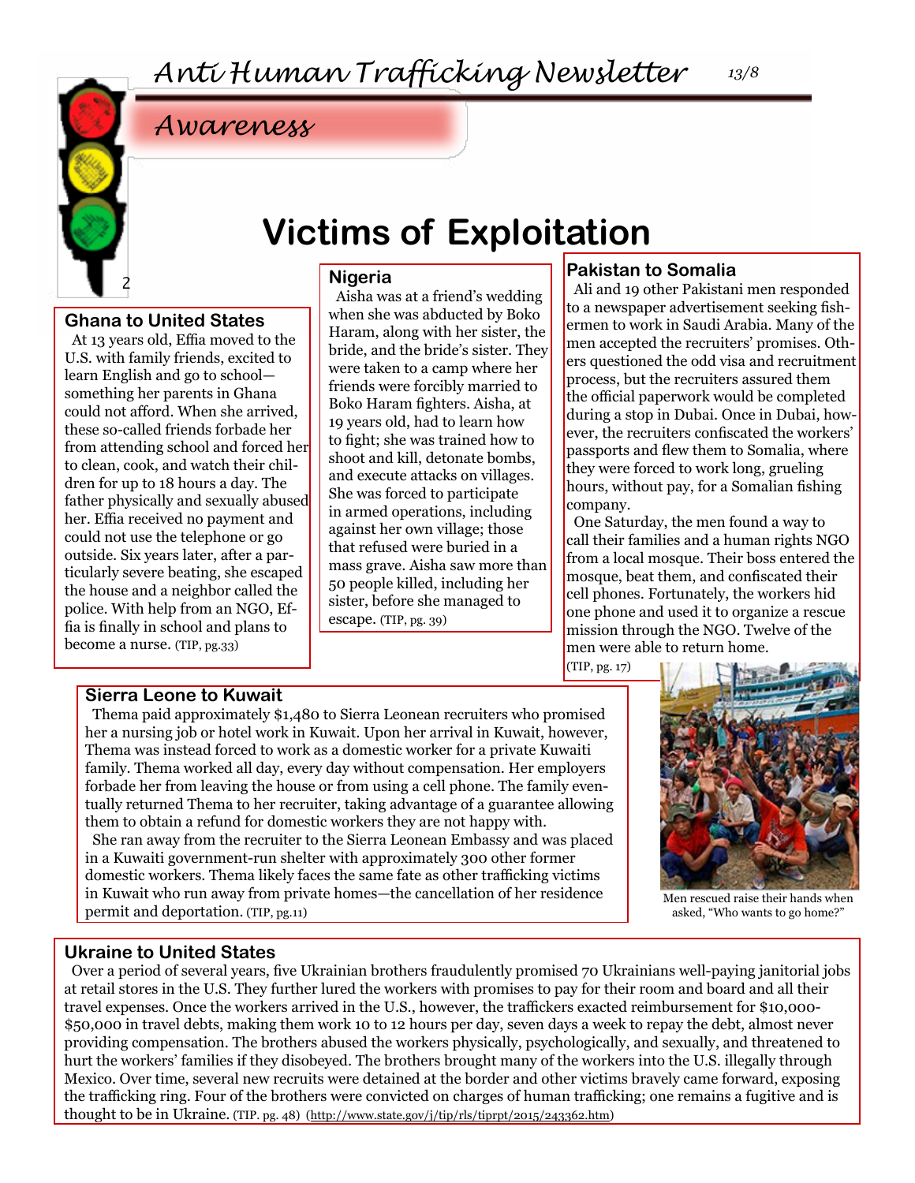

## **Victims of Exploitation**

### **Nigeria**

**Ghana to United States**

At 13 years old, Effia moved to the U.S. with family friends, excited to learn English and go to school something her parents in Ghana could not afford. When she arrived, these so-called friends forbade her from attending school and forced her to clean, cook, and watch their children for up to 18 hours a day. The father physically and sexually abused her. Effia received no payment and could not use the telephone or go outside. Six years later, after a particularly severe beating, she escaped the house and a neighbor called the police. With help from an NGO, Effia is finally in school and plans to become a nurse. (TIP, pg.33)

Aisha was at a friend's wedding when she was abducted by Boko Haram, along with her sister, the bride, and the bride's sister. They were taken to a camp where her friends were forcibly married to Boko Haram fighters. Aisha, at 19 years old, had to learn how to fight; she was trained how to shoot and kill, detonate bombs, and execute attacks on villages. She was forced to participate in armed operations, including against her own village; those that refused were buried in a mass grave. Aisha saw more than 50 people killed, including her sister, before she managed to escape. (TIP, pg. 39)

### **Pakistan to Somalia**

Ali and 19 other Pakistani men responded to a newspaper advertisement seeking fishermen to work in Saudi Arabia. Many of the men accepted the recruiters' promises. Others questioned the odd visa and recruitment process, but the recruiters assured them the official paperwork would be completed during a stop in Dubai. Once in Dubai, however, the recruiters confiscated the workers' passports and flew them to Somalia, where they were forced to work long, grueling hours, without pay, for a Somalian fishing company.

One Saturday, the men found a way to call their families and a human rights NGO from a local mosque. Their boss entered the mosque, beat them, and confiscated their cell phones. Fortunately, the workers hid one phone and used it to organize a rescue mission through the NGO. Twelve of the men were able to return home.

(TIP, pg. 17)

#### **Sierra Leone to Kuwait**

Thema paid approximately \$1,480 to Sierra Leonean recruiters who promised her a nursing job or hotel work in Kuwait. Upon her arrival in Kuwait, however, Thema was instead forced to work as a domestic worker for a private Kuwaiti family. Thema worked all day, every day without compensation. Her employers forbade her from leaving the house or from using a cell phone. The family eventually returned Thema to her recruiter, taking advantage of a guarantee allowing them to obtain a refund for domestic workers they are not happy with. She ran away from the recruiter to the Sierra Leonean Embassy and was placed in a Kuwaiti government-run shelter with approximately 300 other former domestic workers. Thema likely faces the same fate as other trafficking victims in Kuwait who run away from private homes—the cancellation of her residence permit and deportation. (TIP, pg.11)



Men rescued raise their hands when asked, "Who wants to go home?"

### **Ukraine to United States**

Over a period of several years, five Ukrainian brothers fraudulently promised 70 Ukrainians well-paying janitorial jobs at retail stores in the U.S. They further lured the workers with promises to pay for their room and board and all their travel expenses. Once the workers arrived in the U.S., however, the traffickers exacted reimbursement for \$10,000- \$50,000 in travel debts, making them work 10 to 12 hours per day, seven days a week to repay the debt, almost never providing compensation. The brothers abused the workers physically, psychologically, and sexually, and threatened to hurt the workers' families if they disobeyed. The brothers brought many of the workers into the U.S. illegally through Mexico. Over time, several new recruits were detained at the border and other victims bravely came forward, exposing the trafficking ring. Four of the brothers were convicted on charges of human trafficking; one remains a fugitive and is thought to be in Ukraine. (TIP. pg. 48) (<http://www.state.gov/j/tip/rls/tiprpt/2015/243362.htm>)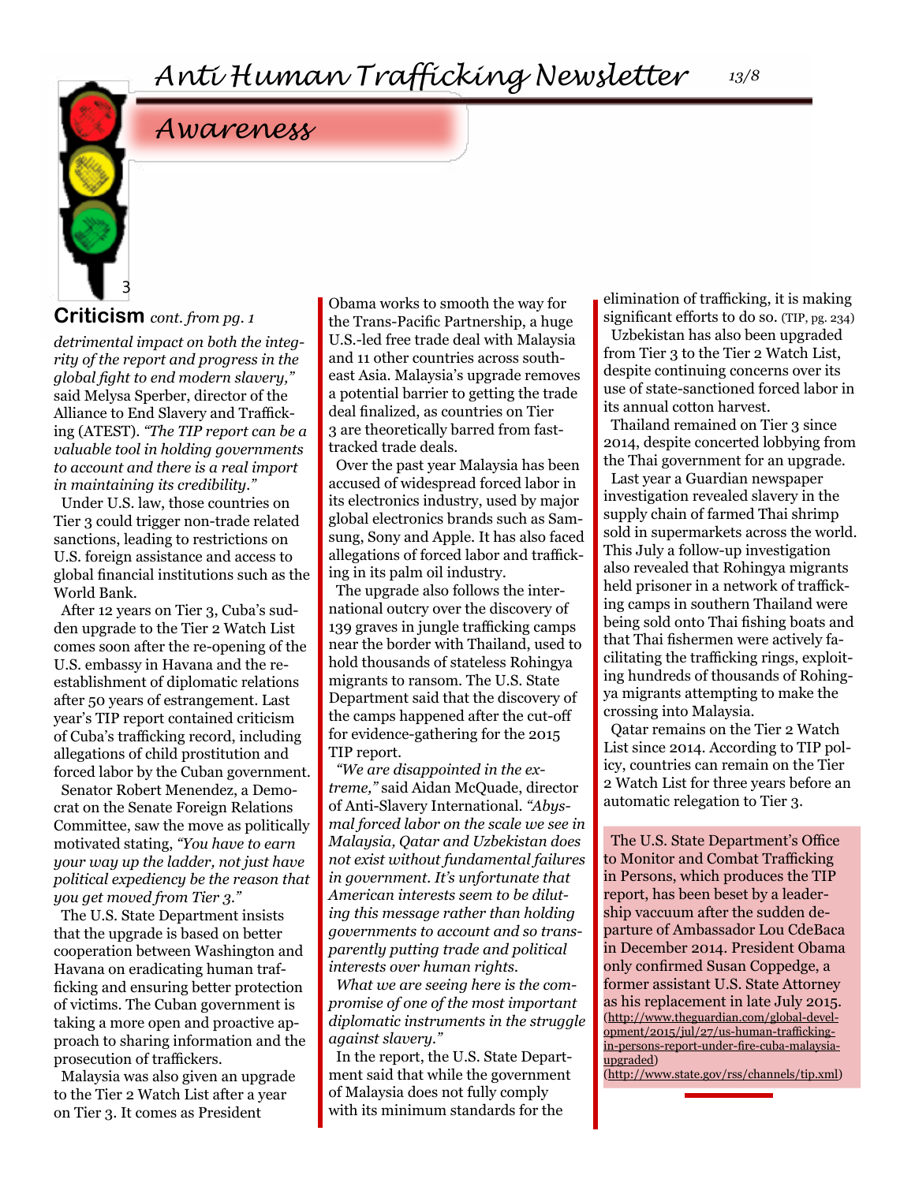### **Criticism** *cont. from pg. 1*

3

*detrimental impact on both the integrity of the report and progress in the global fight to end modern slavery,"*  said Melysa Sperber, director of the Alliance to End Slavery and Trafficking (ATEST). *"The TIP report can be a valuable tool in holding governments to account and there is a real import in maintaining its credibility."*

Under U.S. law, those countries on Tier 3 could trigger non-trade related sanctions, leading to restrictions on U.S. foreign assistance and access to global financial institutions such as the World Bank.

After 12 years on Tier 3, Cuba's sudden upgrade to the Tier 2 Watch List comes soon after the re-opening of the U.S. embassy in Havana and the reestablishment of diplomatic relations after 50 years of estrangement. Last year's TIP report contained criticism of Cuba's trafficking record, including allegations of child prostitution and forced labor by the Cuban government.

Senator Robert Menendez, a Democrat on the Senate Foreign Relations Committee, saw the move as politically motivated stating, *"You have to earn your way up the ladder, not just have political expediency be the reason that you get moved from Tier 3."*

The U.S. State Department insists that the upgrade is based on better cooperation between Washington and Havana on eradicating human trafficking and ensuring better protection of victims. The Cuban government is taking a more open and proactive approach to sharing information and the prosecution of traffickers.

Malaysia was also given an upgrade to the Tier 2 Watch List after a year on Tier 3. It comes as President

Obama works to smooth the way for the Trans-Pacific Partnership, a huge U.S.-led free trade deal with Malaysia and 11 other countries across southeast Asia. Malaysia's upgrade removes a potential barrier to getting the trade deal finalized, as countries on Tier 3 are theoretically barred from fasttracked trade deals.

Over the past year Malaysia has been accused of widespread forced labor in its electronics industry, used by major global electronics brands such as Samsung, Sony and Apple. It has also faced allegations of forced labor and trafficking in its palm oil industry.

The upgrade also follows the international outcry over the discovery of 139 graves in jungle trafficking camps near the border with Thailand, used to hold thousands of stateless Rohingya migrants to ransom. The U.S. State Department said that the discovery of the camps happened after the cut-off for evidence-gathering for the 2015 TIP report.

*"We are disappointed in the extreme,"* said Aidan McQuade, director of Anti-Slavery International. *"Abysmal forced labor on the scale we see in Malaysia, Qatar and Uzbekistan does not exist without fundamental failures in government. It's unfortunate that American interests seem to be diluting this message rather than holding governments to account and so transparently putting trade and political interests over human rights.* 

*What we are seeing here is the compromise of one of the most important diplomatic instruments in the struggle against slavery."*

In the report, the U.S. State Department said that while the government of Malaysia does not fully comply with its minimum standards for the

elimination of trafficking, it is making

significant efforts to do so. (TIP, pg. 234) Uzbekistan has also been upgraded from Tier 3 to the Tier 2 Watch List, despite continuing concerns over its use of state-sanctioned forced labor in its annual cotton harvest.

Thailand remained on Tier 3 since 2014, despite concerted lobbying from the Thai government for an upgrade. Last year a Guardian newspaper investigation revealed slavery in the supply chain of farmed Thai shrimp sold in supermarkets across the world. This July a follow-up investigation also revealed that Rohingya migrants held prisoner in a network of trafficking camps in southern Thailand were being sold onto Thai fishing boats and that Thai fishermen were actively facilitating the trafficking rings, exploiting hundreds of thousands of Rohingya migrants attempting to make the crossing into Malaysia.

Qatar remains on the Tier 2 Watch List since 2014. According to TIP policy, countries can remain on the Tier 2 Watch List for three years before an automatic relegation to Tier 3.

The U.S. State Department's Office to Monitor and Combat Trafficking in Persons, which produces the TIP report, has been beset by a leadership vaccuum after the sudden departure of Ambassador Lou CdeBaca in December 2014. President Obama only confirmed Susan Coppedge, a former assistant U.S. State Attorney as his replacement in late July 2015. ([http://www.theguardian.com/global-devel](http://www.theguardian.com/global-development/2015/jul/27/us-human-trafficking-in-persons-report-und)[opment/2015/jul/27/us-human-trafficking](http://www.theguardian.com/global-development/2015/jul/27/us-human-trafficking-in-persons-report-und)[in-persons-report-under-fire-cuba-malaysia](http://www.theguardian.com/global-development/2015/jul/27/us-human-trafficking-in-persons-report-und)[upgraded\)](http://www.theguardian.com/global-development/2015/jul/27/us-human-trafficking-in-persons-report-und)

(<http://www.state.gov/rss/channels/tip.xml>)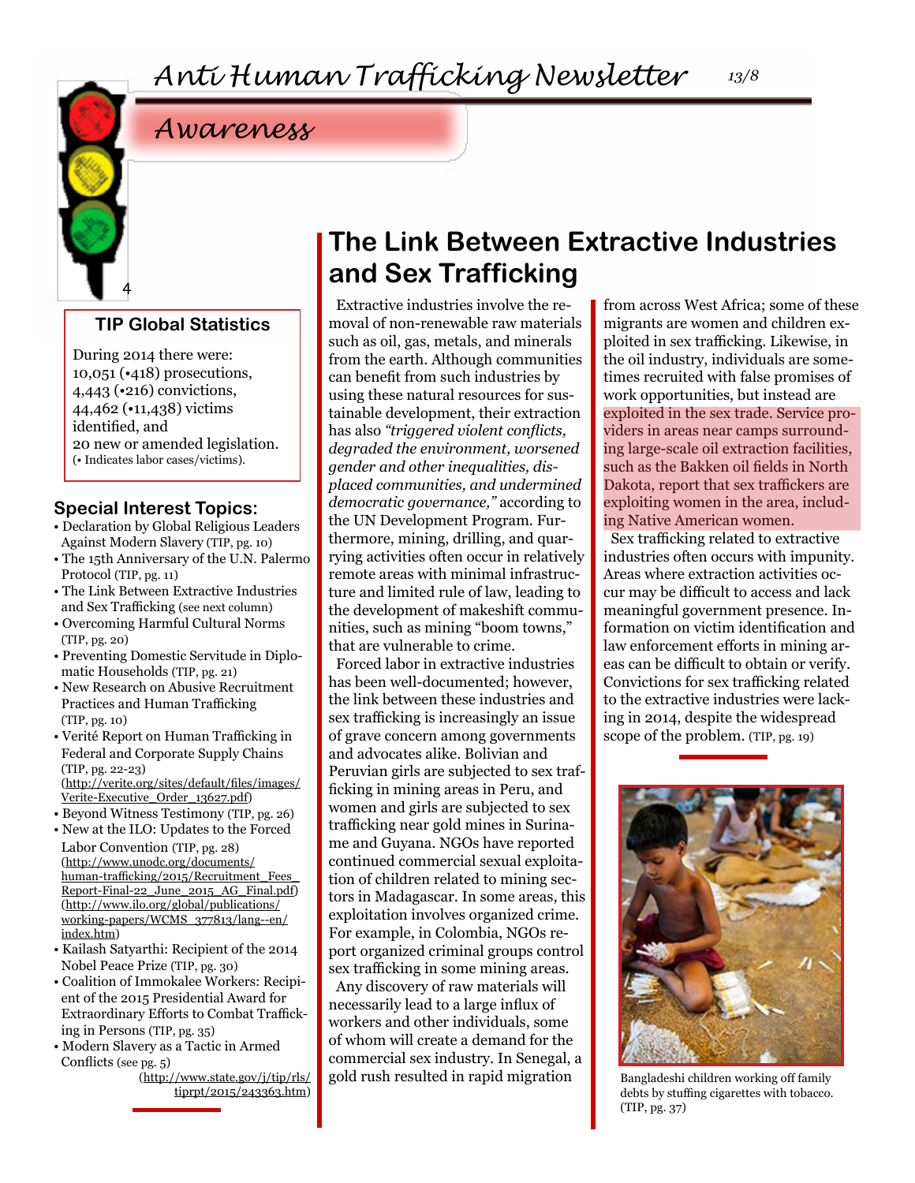

### **TIP Global Statistics**

During 2014 there were: 10,051 (•418) prosecutions, 4,443 (•216) convictions, 44,462 (•11,438) victims identified, and 20 new or amended legislation. (• Indicates labor cases/victims).

### **Special Interest Topics:**

- Declaration by Global Religious Leaders Against Modern Slavery (TIP, pg. 10)
- The 15th Anniversary of the U.N. Palermo Protocol (TIP, pg. 11)
- The Link Between Extractive Industries and Sex Trafficking (see next column)
- Overcoming Harmful Cultural Norms (TIP, pg. 20)
- Preventing Domestic Servitude in Diplomatic Households (TIP, pg. 21)
- New Research on Abusive Recruitment Practices and Human Trafficking (TIP, pg. 10)
- Verité Report on Human Trafficking in Federal and Corporate Supply Chains (TIP, pg. 22-23)
- ([http://verite.org/sites/default/files/images/](http://verite.org/sites/default/files/images/Verite-Executive_Order_13627.pdf) [Verite-Executive\\_Order\\_13627.pdf\)](http://verite.org/sites/default/files/images/Verite-Executive_Order_13627.pdf)
- Beyond Witness Testimony (TIP, pg. 26)
- New at the ILO: Updates to the Forced Labor Convention (TIP, pg. 28) ([http://www.unodc.org/documents/](http://www.unodc.org/documents/human-trafficking/2015/Recruitment_Fees_Report-Final-22_June_2015_AG) [human-trafficking/2015/Recruitment\\_Fees\\_](http://www.unodc.org/documents/human-trafficking/2015/Recruitment_Fees_Report-Final-22_June_2015_AG) [Report-Final-22\\_June\\_2015\\_AG\\_Final.pdf\)](http://www.unodc.org/documents/human-trafficking/2015/Recruitment_Fees_Report-Final-22_June_2015_AG) ([http://www.ilo.org/global/publications/](http://www.ilo.org/global/publications/working-papers/WCMS_377813/lang--en/index.htm) [working-papers/WCMS\\_377813/lang--en/](http://www.ilo.org/global/publications/working-papers/WCMS_377813/lang--en/index.htm) [index.htm](http://www.ilo.org/global/publications/working-papers/WCMS_377813/lang--en/index.htm))
- Kailash Satyarthi: Recipient of the 2014 Nobel Peace Prize (TIP, pg. 30)
- Coalition of Immokalee Workers: Recipient of the 2015 Presidential Award for Extraordinary Efforts to Combat Trafficking in Persons (TIP, pg. 35)
- Modern Slavery as a Tactic in Armed Conflicts (see pg. 5)

([http://www.state.gov/j/tip/rls/](http://www.state.gov/j/tip/rls/tiprpt/2015/243363.htm) [tiprpt/2015/243363.htm](http://www.state.gov/j/tip/rls/tiprpt/2015/243363.htm))

### **The Link Between Extractive Industries and Sex Trafficking**

Extractive industries involve the removal of non-renewable raw materials such as oil, gas, metals, and minerals from the earth. Although communities can benefit from such industries by using these natural resources for sustainable development, their extraction has also *"triggered violent conflicts, degraded the environment, worsened gender and other inequalities, displaced communities, and undermined democratic governance,"* according to the UN Development Program. Furthermore, mining, drilling, and quarrying activities often occur in relatively remote areas with minimal infrastructure and limited rule of law, leading to the development of makeshift communities, such as mining "boom towns," that are vulnerable to crime.

Forced labor in extractive industries has been well-documented; however, the link between these industries and sex trafficking is increasingly an issue of grave concern among governments and advocates alike. Bolivian and Peruvian girls are subjected to sex trafficking in mining areas in Peru, and women and girls are subjected to sex trafficking near gold mines in Suriname and Guyana. NGOs have reported continued commercial sexual exploitation of children related to mining sectors in Madagascar. In some areas, this exploitation involves organized crime. For example, in Colombia, NGOs report organized criminal groups control sex trafficking in some mining areas.

Any discovery of raw materials will necessarily lead to a large influx of workers and other individuals, some of whom will create a demand for the commercial sex industry. In Senegal, a gold rush resulted in rapid migration

from across West Africa; some of these migrants are women and children exploited in sex trafficking. Likewise, in the oil industry, individuals are sometimes recruited with false promises of work opportunities, but instead are exploited in the sex trade. Service providers in areas near camps surrounding large-scale oil extraction facilities, such as the Bakken oil fields in North Dakota, report that sex traffickers are exploiting women in the area, including Native American women.

Sex trafficking related to extractive industries often occurs with impunity. Areas where extraction activities occur may be difficult to access and lack meaningful government presence. Information on victim identification and law enforcement efforts in mining areas can be difficult to obtain or verify. Convictions for sex trafficking related to the extractive industries were lacking in 2014, despite the widespread scope of the problem. (TIP, pg. 19)



Bangladeshi children working off family debts by stuffing cigarettes with tobacco. (TIP, pg. 37)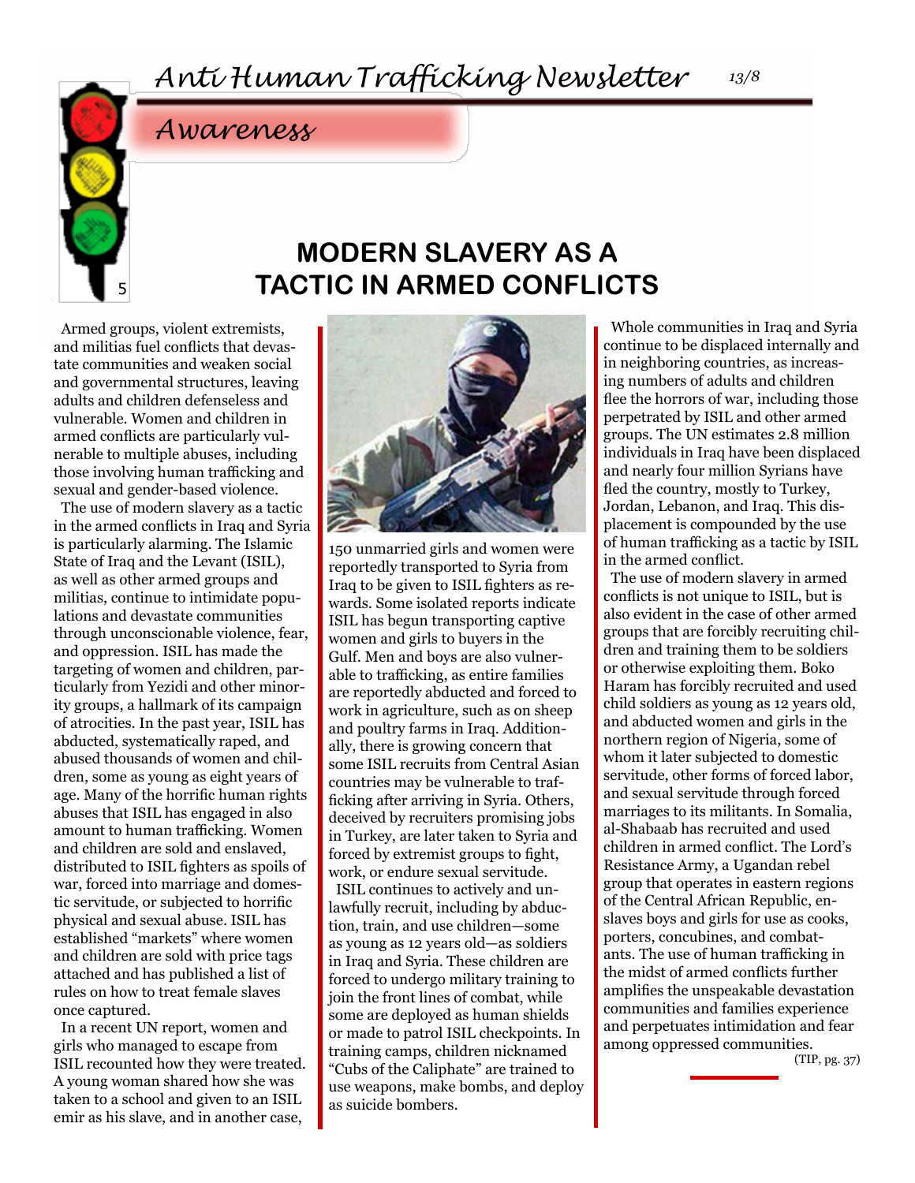5

### **MODERN SLAVERY AS A TACTIC IN ARMED CONFLICTS**

Armed groups, violent extremists, and militias fuel conflicts that devastate communities and weaken social and governmental structures, leaving adults and children defenseless and vulnerable. Women and children in armed conflicts are particularly vulnerable to multiple abuses, including those involving human trafficking and sexual and gender-based violence.

*Awareness*

The use of modern slavery as a tactic in the armed conflicts in Iraq and Syria is particularly alarming. The Islamic State of Iraq and the Levant (ISIL), as well as other armed groups and militias, continue to intimidate populations and devastate communities through unconscionable violence, fear, and oppression. ISIL has made the targeting of women and children, particularly from Yezidi and other minority groups, a hallmark of its campaign of atrocities. In the past year, ISIL has abducted, systematically raped, and abused thousands of women and children, some as young as eight years of age. Many of the horrific human rights abuses that ISIL has engaged in also amount to human trafficking. Women and children are sold and enslaved, distributed to ISIL fighters as spoils of war, forced into marriage and domestic servitude, or subjected to horrific physical and sexual abuse. ISIL has established "markets" where women and children are sold with price tags attached and has published a list of rules on how to treat female slaves once captured.

In a recent UN report, women and girls who managed to escape from ISIL recounted how they were treated. A young woman shared how she was taken to a school and given to an ISIL emir as his slave, and in another case,



150 unmarried girls and women were reportedly transported to Syria from Iraq to be given to ISIL fighters as rewards. Some isolated reports indicate ISIL has begun transporting captive women and girls to buyers in the Gulf. Men and boys are also vulnerable to trafficking, as entire families are reportedly abducted and forced to work in agriculture, such as on sheep and poultry farms in Iraq. Additionally, there is growing concern that some ISIL recruits from Central Asian countries may be vulnerable to trafficking after arriving in Syria. Others, deceived by recruiters promising jobs in Turkey, are later taken to Syria and forced by extremist groups to fight, work, or endure sexual servitude.

ISIL continues to actively and unlawfully recruit, including by abduction, train, and use children—some as young as 12 years old—as soldiers in Iraq and Syria. These children are forced to undergo military training to join the front lines of combat, while some are deployed as human shields or made to patrol ISIL checkpoints. In training camps, children nicknamed "Cubs of the Caliphate" are trained to use weapons, make bombs, and deploy as suicide bombers.

Whole communities in Iraq and Syria continue to be displaced internally and in neighboring countries, as increasing numbers of adults and children flee the horrors of war, including those perpetrated by ISIL and other armed groups. The UN estimates 2.8 million individuals in Iraq have been displaced and nearly four million Syrians have fled the country, mostly to Turkey, Jordan, Lebanon, and Iraq. This displacement is compounded by the use of human trafficking as a tactic by ISIL in the armed conflict.

The use of modern slavery in armed conflicts is not unique to ISIL, but is also evident in the case of other armed groups that are forcibly recruiting children and training them to be soldiers or otherwise exploiting them. Boko Haram has forcibly recruited and used child soldiers as young as 12 years old, and abducted women and girls in the northern region of Nigeria, some of whom it later subjected to domestic servitude, other forms of forced labor, and sexual servitude through forced marriages to its militants. In Somalia, al-Shabaab has recruited and used children in armed conflict. The Lord's Resistance Army, a Ugandan rebel group that operates in eastern regions of the Central African Republic, enslaves boys and girls for use as cooks, porters, concubines, and combatants. The use of human trafficking in the midst of armed conflicts further amplifies the unspeakable devastation communities and families experience and perpetuates intimidation and fear among oppressed communities.

(TIP, pg. 37)

*13/8*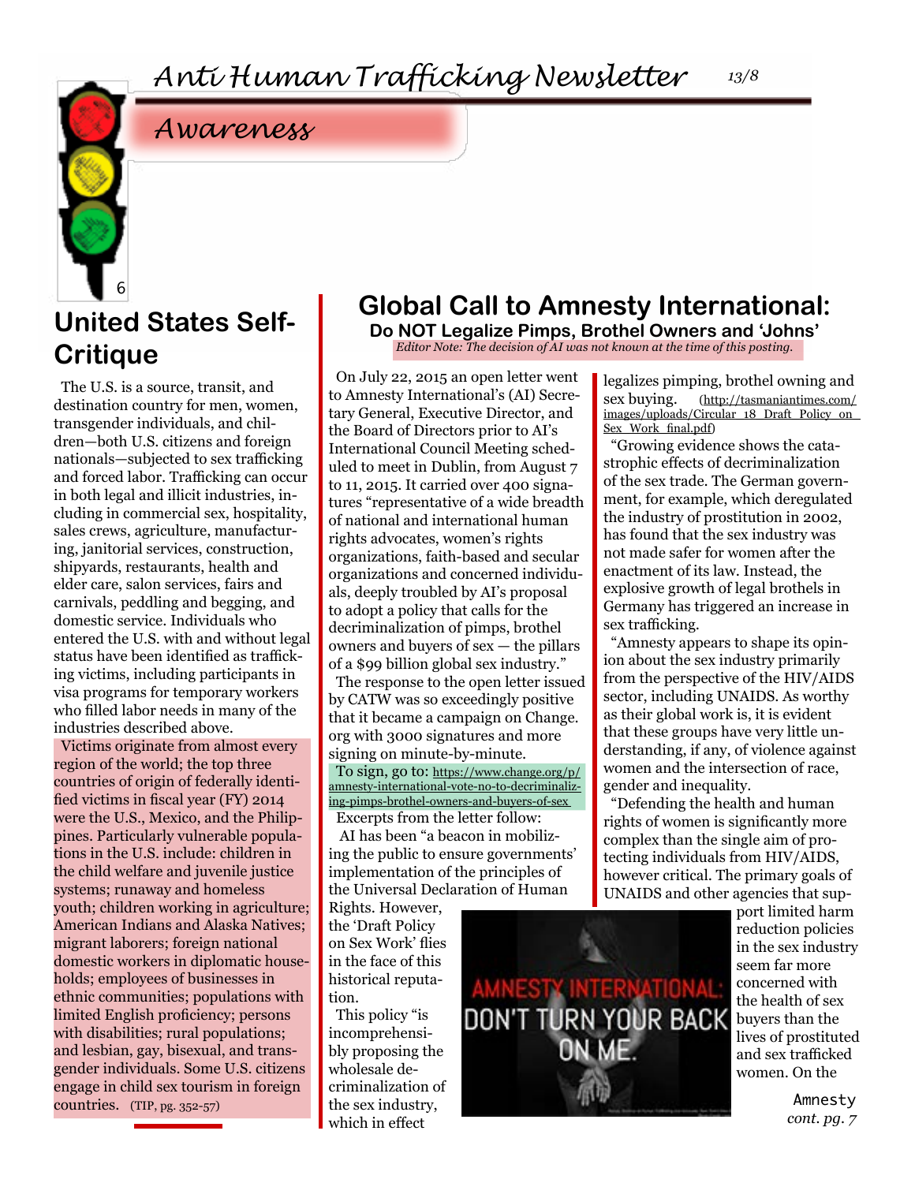## **United States Self-Critique**

6

The U.S. is a source, transit, and destination country for men, women, transgender individuals, and children—both U.S. citizens and foreign nationals—subjected to sex trafficking and forced labor. Trafficking can occur in both legal and illicit industries, including in commercial sex, hospitality, sales crews, agriculture, manufacturing, janitorial services, construction, shipyards, restaurants, health and elder care, salon services, fairs and carnivals, peddling and begging, and domestic service. Individuals who entered the U.S. with and without legal status have been identified as trafficking victims, including participants in visa programs for temporary workers who filled labor needs in many of the industries described above.

Victims originate from almost every region of the world; the top three countries of origin of federally identified victims in fiscal year (FY) 2014 were the U.S., Mexico, and the Philippines. Particularly vulnerable populations in the U.S. include: children in the child welfare and juvenile justice systems; runaway and homeless youth; children working in agriculture; American Indians and Alaska Natives; migrant laborers; foreign national domestic workers in diplomatic households; employees of businesses in ethnic communities; populations with limited English proficiency; persons with disabilities; rural populations; and lesbian, gay, bisexual, and transgender individuals. Some U.S. citizens engage in child sex tourism in foreign countries. (TIP, pg. 352-57)

### **Global Call to Amnesty International:**

**Do NOT Legalize Pimps, Brothel Owners and 'Johns'** *Editor Note: The decision of AI was not known at the time of this posting.*

On July 22, 2015 an open letter went to Amnesty International's (AI) Secretary General, Executive Director, and the Board of Directors prior to AI's International Council Meeting scheduled to meet in Dublin, from August 7 to 11, 2015. It carried over 400 signatures "representative of a wide breadth of national and international human rights advocates, women's rights organizations, faith-based and secular organizations and concerned individuals, deeply troubled by AI's proposal to adopt a policy that calls for the decriminalization of pimps, brothel owners and buyers of sex — the pillars of a \$99 billion global sex industry."

The response to the open letter issued by CATW was so exceedingly positive that it became a campaign on Change. org with 3000 signatures and more signing on minute-by-minute.

To sign, go to: [https://www.change.org/p/](https://www.change.org/p/amnesty-international-vote-no-to-decriminalizing-pimps-brothel-owners-and-b) [amnesty-international-vote-no-to-decriminaliz](https://www.change.org/p/amnesty-international-vote-no-to-decriminalizing-pimps-brothel-owners-and-b)[ing-pimps-brothel-owners-and-buyers-of-sex](https://www.change.org/p/amnesty-international-vote-no-to-decriminalizing-pimps-brothel-owners-and-b) 

Excerpts from the letter follow: AI has been "a beacon in mobilizing the public to ensure governments' implementation of the principles of the Universal Declaration of Human

Rights. However, the 'Draft Policy on Sex Work' flies in the face of this historical reputation.

This policy "is incomprehensibly proposing the wholesale decriminalization of the sex industry, which in effect



port limited harm reduction policies in the sex industry seem far more concerned with the health of sex buyers than the lives of prostituted and sex trafficked women. On the

> Amnesty *cont. pg. 7*

legalizes pimping, brothel owning and sex buying. ([http://tasmaniantimes.com/](http://tasmaniantimes.com/images/uploads/Circular_18_Draft_Policy_on_Sex_Work_final.pdf) [images/uploads/Circular\\_18\\_Draft\\_Policy\\_on\\_](http://tasmaniantimes.com/images/uploads/Circular_18_Draft_Policy_on_Sex_Work_final.pdf)

[Sex\\_Work\\_final.pdf\)](http://tasmaniantimes.com/images/uploads/Circular_18_Draft_Policy_on_Sex_Work_final.pdf) "Growing evidence shows the catastrophic effects of decriminalization of the sex trade. The German government, for example, which deregulated the industry of prostitution in 2002, has found that the sex industry was not made safer for women after the enactment of its law. Instead, the explosive growth of legal brothels in Germany has triggered an increase in sex trafficking.

"Amnesty appears to shape its opinion about the sex industry primarily from the perspective of the HIV/AIDS sector, including UNAIDS. As worthy as their global work is, it is evident that these groups have very little understanding, if any, of violence against women and the intersection of race, gender and inequality.

"Defending the health and human rights of women is significantly more complex than the single aim of protecting individuals from HIV/AIDS, however critical. The primary goals of UNAIDS and other agencies that sup-

*13/8*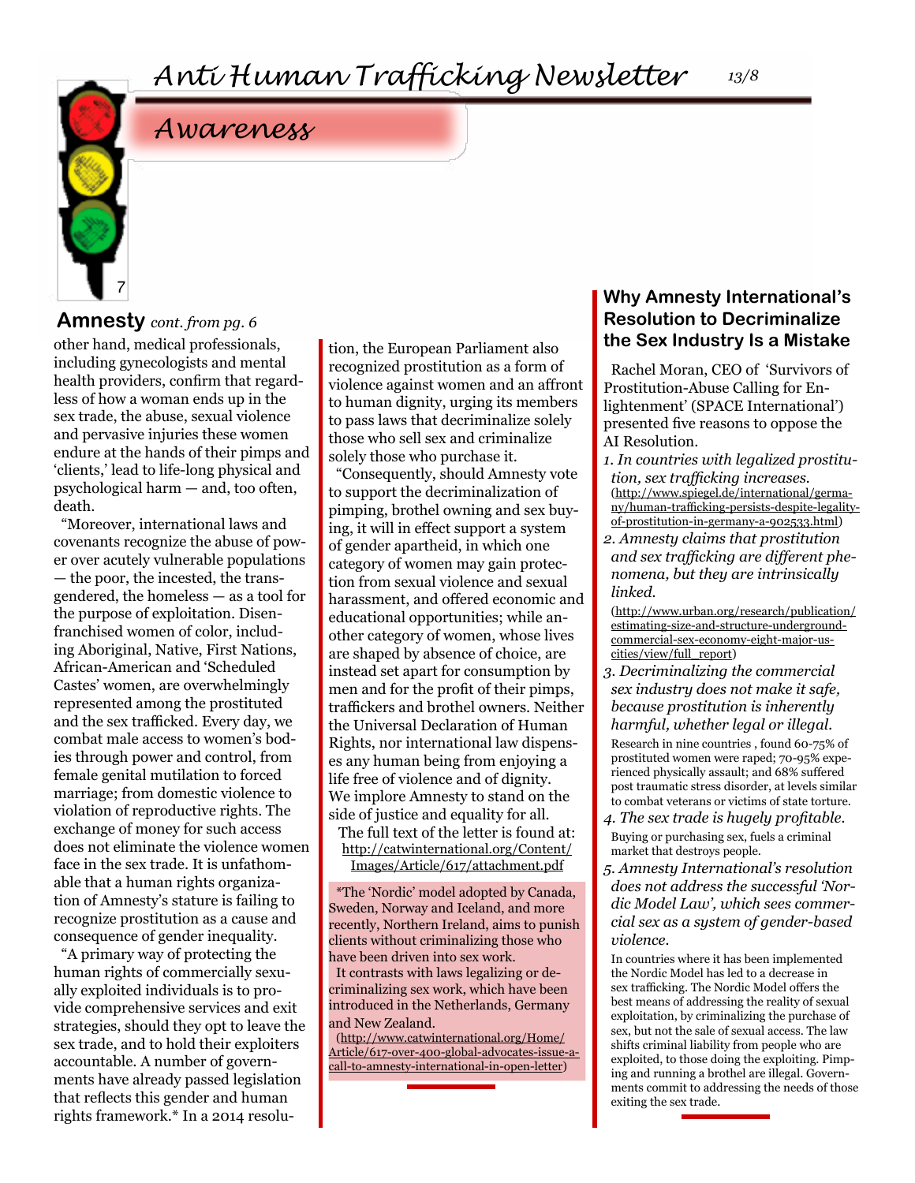#### *13/8*

### *Awareness*

### **Amnesty** *cont. from pg. 6*

7

other hand, medical professionals, including gynecologists and mental health providers, confirm that regardless of how a woman ends up in the sex trade, the abuse, sexual violence and pervasive injuries these women endure at the hands of their pimps and 'clients,' lead to life-long physical and psychological harm — and, too often, death.

"Moreover, international laws and covenants recognize the abuse of power over acutely vulnerable populations — the poor, the incested, the transgendered, the homeless — as a tool for the purpose of exploitation. Disenfranchised women of color, including Aboriginal, Native, First Nations, African-American and 'Scheduled Castes' women, are overwhelmingly represented among the prostituted and the sex trafficked. Every day, we combat male access to women's bodies through power and control, from female genital mutilation to forced marriage; from domestic violence to violation of reproductive rights. The exchange of money for such access does not eliminate the violence women face in the sex trade. It is unfathomable that a human rights organization of Amnesty's stature is failing to recognize prostitution as a cause and consequence of gender inequality.

"A primary way of protecting the human rights of commercially sexually exploited individuals is to provide comprehensive services and exit strategies, should they opt to leave the sex trade, and to hold their exploiters accountable. A number of governments have already passed legislation that reflects this gender and human rights framework.\* In a 2014 resolution, the European Parliament also recognized prostitution as a form of violence against women and an affront to human dignity, urging its members to pass laws that decriminalize solely those who sell sex and criminalize solely those who purchase it.

"Consequently, should Amnesty vote to support the decriminalization of pimping, brothel owning and sex buying, it will in effect support a system of gender apartheid, in which one category of women may gain protection from sexual violence and sexual harassment, and offered economic and educational opportunities; while another category of women, whose lives are shaped by absence of choice, are instead set apart for consumption by men and for the profit of their pimps, traffickers and brothel owners. Neither the Universal Declaration of Human Rights, nor international law dispenses any human being from enjoying a life free of violence and of dignity. We implore Amnesty to stand on the side of justice and equality for all.

The full text of the letter is found at: [http://catwinternational.org/Content/](http://catwinternational.org/Content/Images/Article/617/attachment.pdf ) [Images/Article/617/attachment.pdf](http://catwinternational.org/Content/Images/Article/617/attachment.pdf )

\*The 'Nordic' model adopted by Canada, Sweden, Norway and Iceland, and more recently, Northern Ireland, aims to punish clients without criminalizing those who have been driven into sex work. It contrasts with laws legalizing or decriminalizing sex work, which have been introduced in the Netherlands, Germany and New Zealand.

([http://www.catwinternational.org/Home/](http://www.catwinternational.org/Home/Article/617-over-400-global-advocates-issue-a-call-to-amnesty-) [Article/617-over-400-global-advocates-issue-a](http://www.catwinternational.org/Home/Article/617-over-400-global-advocates-issue-a-call-to-amnesty-)[call-to-amnesty-international-in-open-letter](http://www.catwinternational.org/Home/Article/617-over-400-global-advocates-issue-a-call-to-amnesty-))

### **Why Amnesty International's Resolution to Decriminalize the Sex Industry Is a Mistake**

Rachel Moran, CEO of 'Survivors of Prostitution-Abuse Calling for Enlightenment' (SPACE International') presented five reasons to oppose the AI Resolution.

- *1. In countries with legalized prostitution, sex trafficking increases.* ([http://www.spiegel.de/international/germa](http://www.spiegel.de/international/germany/human-trafficking-persists-despite-legality-of-prostitut)[ny/human-trafficking-persists-despite-legality](http://www.spiegel.de/international/germany/human-trafficking-persists-despite-legality-of-prostitut)[of-prostitution-in-germany-a-902533.html](http://www.spiegel.de/international/germany/human-trafficking-persists-despite-legality-of-prostitut))
- *2. Amnesty claims that prostitution and sex trafficking are different phenomena, but they are intrinsically linked.*

([http://www.urban.org/research/publication/](http://www.urban.org/research/publication/estimating-size-and-structure-underground-commercial-sex-e) [estimating-size-and-structure-underground](http://www.urban.org/research/publication/estimating-size-and-structure-underground-commercial-sex-e)[commercial-sex-economy-eight-major-us](http://www.urban.org/research/publication/estimating-size-and-structure-underground-commercial-sex-e)[cities/view/full\\_report\)](http://www.urban.org/research/publication/estimating-size-and-structure-underground-commercial-sex-e)

*3. Decriminalizing the commercial sex industry does not make it safe, because prostitution is inherently harmful, whether legal or illegal.*

Research in nine countries , found 60-75% of prostituted women were raped; 70-95% experienced physically assault; and 68% suffered post traumatic stress disorder, at levels similar to combat veterans or victims of state torture.

- *4. The sex trade is hugely profitable.*  Buying or purchasing sex, fuels a criminal market that destroys people.
- *5. Amnesty International's resolution does not address the successful 'Nordic Model Law', which sees commercial sex as a system of gender-based violence.*

In countries where it has been implemented the Nordic Model has led to a decrease in sex trafficking. The Nordic Model offers the best means of addressing the reality of sexual exploitation, by criminalizing the purchase of sex, but not the sale of sexual access. The law shifts criminal liability from people who are exploited, to those doing the exploiting. Pimping and running a brothel are illegal. Governments commit to addressing the needs of those exiting the sex trade.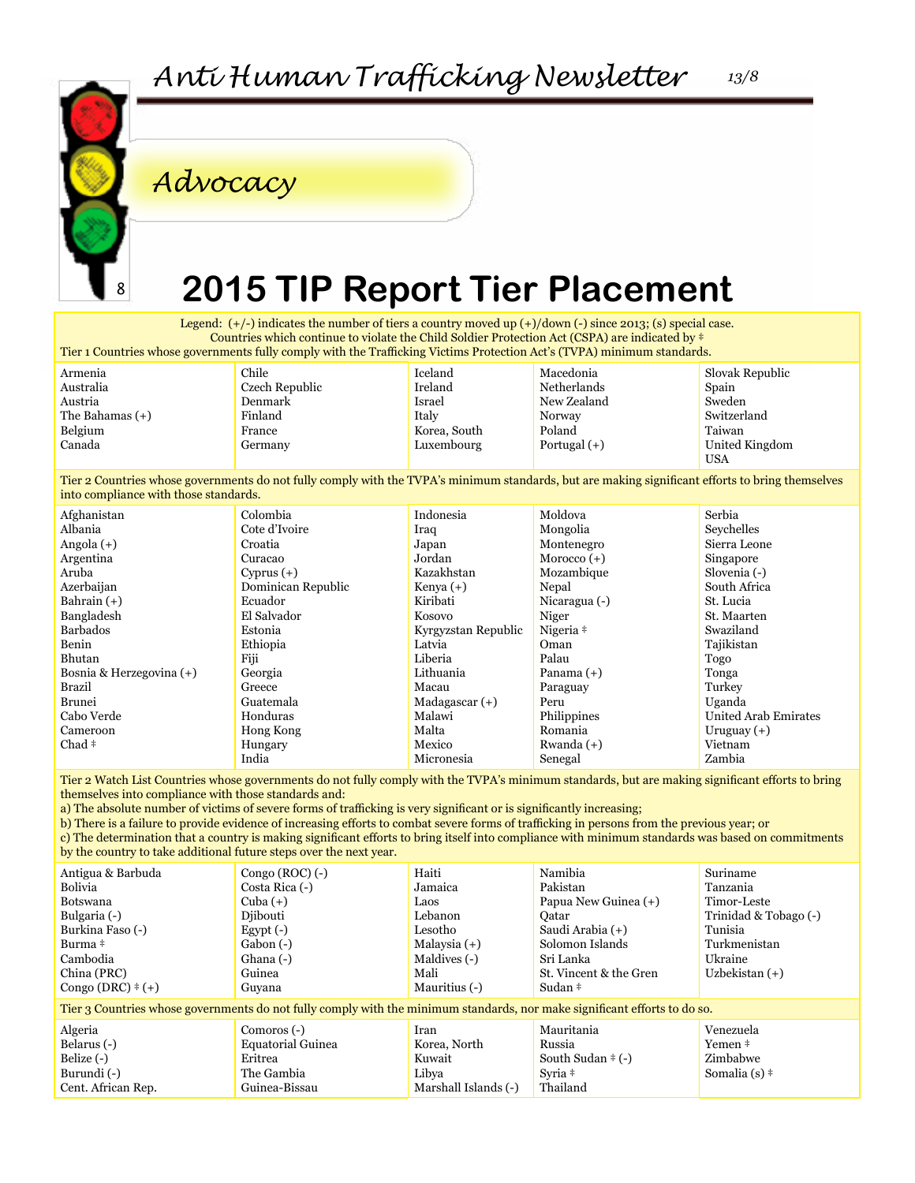

*Advocacy*

## **2015 TIP Report Tier Placement**

Legend:  $(+/-)$  indicates the number of tiers a country moved up  $(+)/$ down  $(-)$  since 2013; (s) special case. Countries which continue to violate the Child Soldier Protection Act (CSPA) are indicated by ‡ Tier 1 Countries whose governments fully comply with the Trafficking Victims Protection Act's (TVPA) minimum standards.

Armenia Australia Austria The Bahamas (+) Belgium Canada

Chile Czech Republic Denmark Finland France Germany

> Colombia Cote d'Ivoire Croatia Curacao Cyprus (+) Dominican Republic

Ecuador El Salvador Estonia Ethiopia Fiji Georgia Greece Guatemala Honduras Hong Kong Hungary India

Iceland Ireland Israel Italy Korea, South Luxembourg

Macedonia Netherlands New Zealand Norway Poland Portugal (+)

Slovak Republic Spain Sweden Switzerland Taiwan United Kingdom USA

Tier 2 Countries whose governments do not fully comply with the TVPA's minimum standards, but are making significant efforts to bring themselves into compliance with those standards.

| Afghanistan              |
|--------------------------|
| Albania                  |
| Angola (+)               |
| Argentina                |
| Aruba                    |
| Azerbaijan               |
| Bahrain $(+)$            |
| Bangladesh               |
| <b>Barbados</b>          |
| Benin                    |
| Bhutan                   |
| Bosnia & Herzegovina (+) |
| Brazil                   |
| Brunei                   |
| Cabo Verde               |
| Cameroon                 |
| Chad ‡                   |

Indonesia Iraq Japan Jordan Kazakhstan Kenya (+) Kiribati Kosovo Kyrgyzstan Republic Latvia Liberia Lithuania Macau Madagascar (+) Malawi Malta Mexico Micronesia Moldova Mongolia Montenegro Morocco (+) Mozambique Nepal Nicaragua (-) Niger Nigeria ‡ Oman Palau Panama (+) Paraguay Peru Philippines Romania Rwanda (+) Senegal

Serbia Seychelles Sierra Leone Singapore Slovenia (-) South Africa St. Lucia St. Maarten Swaziland Tajikistan Togo Tonga Turkey Uganda United Arab Emirates Uruguay (+) Vietnam Zambia

Tier 2 Watch List Countries whose governments do not fully comply with the TVPA's minimum standards, but are making significant efforts to bring themselves into compliance with those standards and:

a) The absolute number of victims of severe forms of trafficking is very significant or is significantly increasing;

b) There is a failure to provide evidence of increasing efforts to combat severe forms of trafficking in persons from the previous year; or c) The determination that a country is making significant efforts to bring itself into compliance with minimum standards was based on commitments by the country to take additional future steps over the next year.

| Antigua & Barbuda                                                                                                         | Congo $(ROC)$ (-)        | Haiti                | Namibia                | Suriname                     |  |
|---------------------------------------------------------------------------------------------------------------------------|--------------------------|----------------------|------------------------|------------------------------|--|
| Bolivia                                                                                                                   | Costa Rica (-)           | Jamaica              | Pakistan               | Tanzania                     |  |
| <b>Botswana</b>                                                                                                           | Cuba $(+)$               | Laos                 | Papua New Guinea $(+)$ | Timor-Leste                  |  |
| Bulgaria (-)                                                                                                              | Diibouti                 | Lebanon              | Oatar                  | Trinidad & Tobago (-)        |  |
| Burkina Faso (-)                                                                                                          | Egypt $(-)$              | Lesotho              | Saudi Arabia (+)       | Tunisia                      |  |
| Burma <sup>#</sup>                                                                                                        | Gabon $(-)$              | Malaysia $(+)$       | Solomon Islands        | Turkmenistan                 |  |
| Cambodia                                                                                                                  | Ghana (-)                | Maldives (-)         | Sri Lanka              | Ukraine                      |  |
| China (PRC)                                                                                                               | Guinea                   | Mali                 | St. Vincent & the Gren | Uzbekistan $(+)$             |  |
| Congo (DRC) $\pm$ (+)                                                                                                     | Guyana                   | Mauritius (-)        | Sudan ‡                |                              |  |
| Tier 3 Countries whose governments do not fully comply with the minimum standards, nor make significant efforts to do so. |                          |                      |                        |                              |  |
| Algeria                                                                                                                   | Comoros (-)              | Iran                 | Mauritania             | Venezuela                    |  |
| Belarus (-)                                                                                                               | <b>Equatorial Guinea</b> | Korea, North         | Russia                 | Yemen ‡                      |  |
| Belize $(-)$                                                                                                              | Eritrea                  | Kuwait               | South Sudan $\pm$ (-)  | Zimbabwe                     |  |
| Burundi (-)                                                                                                               | The Gambia               | Libya                | Syria $\pm$            | Somalia $(s)$ $\overline{*}$ |  |
| Cent. African Rep.                                                                                                        | Guinea-Bissau            | Marshall Islands (-) | Thailand               |                              |  |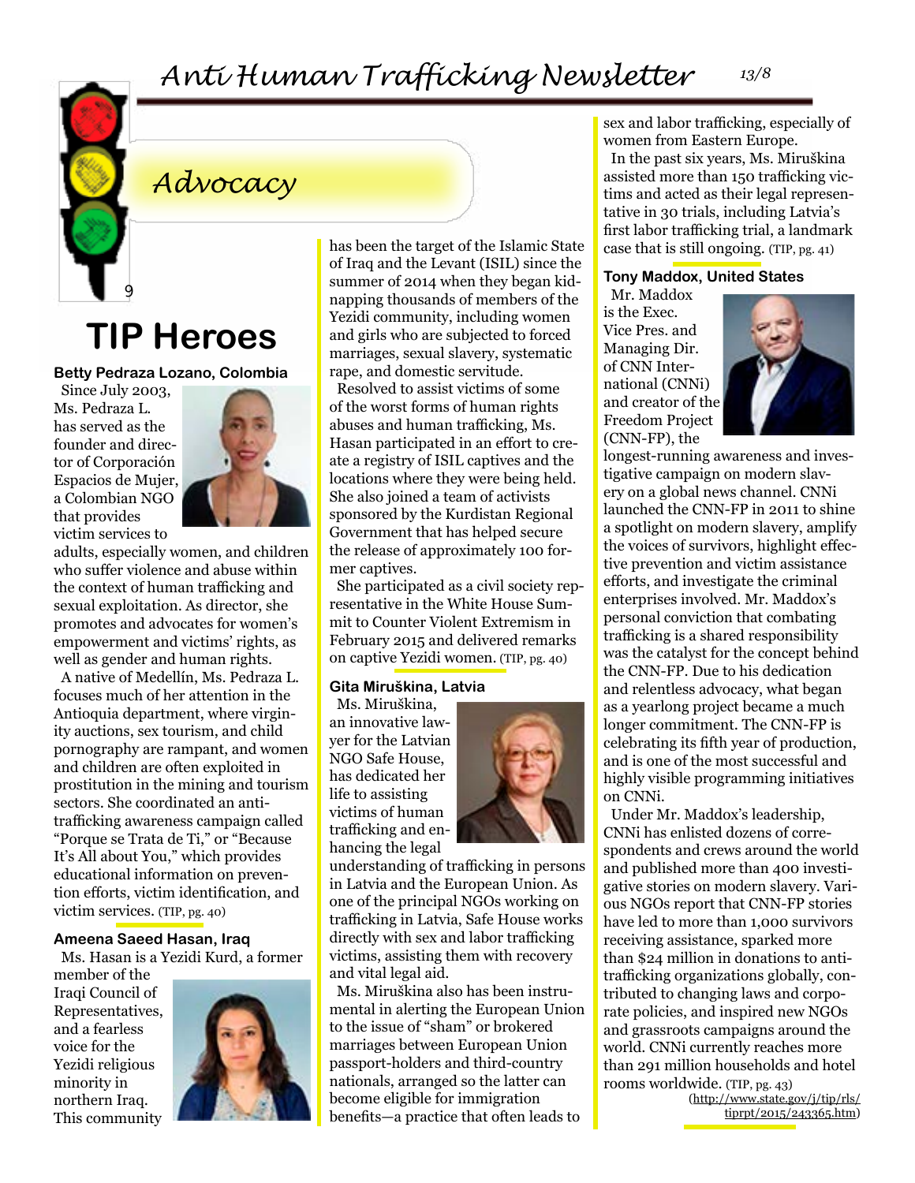## *Anti Human Trafficking Newsletter 13/8*



## *Advocacy*

## **TIP Heroes**

**Betty Pedraza Lozano, Colombia**

Since July 2003, Ms. Pedraza L. has served as the founder and director of Corporación Espacios de Mujer, a Colombian NGO that provides victim services to



adults, especially women, and children who suffer violence and abuse within the context of human trafficking and sexual exploitation. As director, she promotes and advocates for women's empowerment and victims' rights, as well as gender and human rights.

A native of Medellín, Ms. Pedraza L. focuses much of her attention in the Antioquia department, where virginity auctions, sex tourism, and child pornography are rampant, and women and children are often exploited in prostitution in the mining and tourism sectors. She coordinated an antitrafficking awareness campaign called "Porque se Trata de Ti," or "Because It's All about You," which provides educational information on prevention efforts, victim identification, and victim services. (TIP, pg. 40)

#### **Ameena Saeed Hasan, Iraq**

Ms. Hasan is a Yezidi Kurd, a former

member of the Iraqi Council of Representatives, and a fearless voice for the Yezidi religious minority in northern Iraq. This community



has been the target of the Islamic State of Iraq and the Levant (ISIL) since the summer of 2014 when they began kidnapping thousands of members of the Yezidi community, including women and girls who are subjected to forced marriages, sexual slavery, systematic rape, and domestic servitude.

Resolved to assist victims of some of the worst forms of human rights abuses and human trafficking, Ms. Hasan participated in an effort to create a registry of ISIL captives and the locations where they were being held. She also joined a team of activists sponsored by the Kurdistan Regional Government that has helped secure the release of approximately 100 former captives.

She participated as a civil society representative in the White House Summit to Counter Violent Extremism in February 2015 and delivered remarks on captive Yezidi women. (TIP, pg. 40)

#### **Gita Miruškina, Latvia**

Ms. Miruškina, an innovative lawyer for the Latvian NGO Safe House, has dedicated her life to assisting victims of human trafficking and enhancing the legal



understanding of trafficking in persons in Latvia and the European Union. As one of the principal NGOs working on trafficking in Latvia, Safe House works directly with sex and labor trafficking victims, assisting them with recovery and vital legal aid.

Ms. Miruškina also has been instrumental in alerting the European Union to the issue of "sham" or brokered marriages between European Union passport-holders and third-country nationals, arranged so the latter can become eligible for immigration benefits—a practice that often leads to

sex and labor trafficking, especially of women from Eastern Europe.

In the past six years, Ms. Miruškina assisted more than 150 trafficking victims and acted as their legal representative in 30 trials, including Latvia's first labor trafficking trial, a landmark case that is still ongoing. (TIP, pg. 41)

#### **Tony Maddox, United States**

Mr. Maddox is the Exec. Vice Pres. and Managing Dir. of CNN International (CNNi) and creator of the Freedom Project (CNN-FP), the



longest-running awareness and investigative campaign on modern slavery on a global news channel. CNNi launched the CNN-FP in 2011 to shine a spotlight on modern slavery, amplify the voices of survivors, highlight effective prevention and victim assistance efforts, and investigate the criminal enterprises involved. Mr. Maddox's personal conviction that combating trafficking is a shared responsibility was the catalyst for the concept behind the CNN-FP. Due to his dedication and relentless advocacy, what began as a yearlong project became a much longer commitment. The CNN-FP is celebrating its fifth year of production, and is one of the most successful and highly visible programming initiatives on CNNi.

Under Mr. Maddox's leadership, CNNi has enlisted dozens of correspondents and crews around the world and published more than 400 investigative stories on modern slavery. Various NGOs report that CNN-FP stories have led to more than 1,000 survivors receiving assistance, sparked more than \$24 million in donations to antitrafficking organizations globally, contributed to changing laws and corporate policies, and inspired new NGOs and grassroots campaigns around the world. CNNi currently reaches more than 291 million households and hotel rooms worldwide. (TIP, pg. 43)

([http://www.state.gov/j/tip/rls/](http://www.state.gov/j/tip/rls/tiprpt/2015/243365.htm) [tiprpt/2015/243365.htm\)](http://www.state.gov/j/tip/rls/tiprpt/2015/243365.htm)